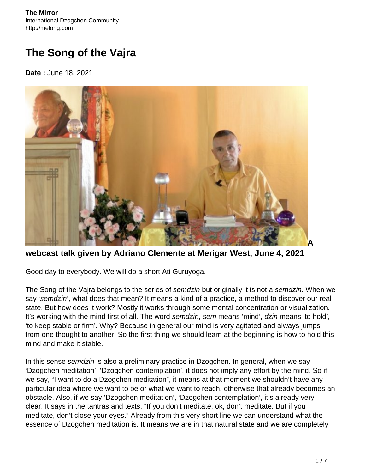## **The Song of the Vajra**

**Date :** June 18, 2021



**webcast talk given by Adriano Clemente at Merigar West, June 4, 2021**

Good day to everybody. We will do a short Ati Guruyoga.

The Song of the Vajra belongs to the series of semdzin but originally it is not a semdzin. When we say 'semdzin', what does that mean? It means a kind of a practice, a method to discover our real state. But how does it work? Mostly it works through some mental concentration or visualization. It's working with the mind first of all. The word semdzin, sem means 'mind', dzin means 'to hold', 'to keep stable or firm'. Why? Because in general our mind is very agitated and always jumps from one thought to another. So the first thing we should learn at the beginning is how to hold this mind and make it stable.

In this sense semdzin is also a preliminary practice in Dzogchen. In general, when we say 'Dzogchen meditation', 'Dzogchen contemplation', it does not imply any effort by the mind. So if we say, "I want to do a Dzogchen meditation", it means at that moment we shouldn't have any particular idea where we want to be or what we want to reach, otherwise that already becomes an obstacle. Also, if we say 'Dzogchen meditation', 'Dzogchen contemplation', it's already very clear. It says in the tantras and texts, "If you don't meditate, ok, don't meditate. But if you meditate, don't close your eyes." Already from this very short line we can understand what the essence of Dzogchen meditation is. It means we are in that natural state and we are completely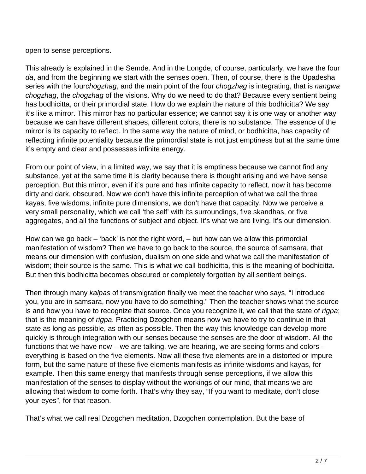open to sense perceptions.

This already is explained in the Semde. And in the Longde, of course, particularly, we have the four da, and from the beginning we start with the senses open. Then, of course, there is the Upadesha series with the fourchogzhag, and the main point of the four chogzhag is integrating, that is nangwa chogzhag, the chogzhag of the visions. Why do we need to do that? Because every sentient being has bodhicitta, or their primordial state. How do we explain the nature of this bodhicitta? We say it's like a mirror. This mirror has no particular essence; we cannot say it is one way or another way because we can have different shapes, different colors, there is no substance. The essence of the mirror is its capacity to reflect. In the same way the nature of mind, or bodhicitta, has capacity of reflecting infinite potentiality because the primordial state is not just emptiness but at the same time it's empty and clear and possesses infinite energy.

From our point of view, in a limited way, we say that it is emptiness because we cannot find any substance, yet at the same time it is clarity because there is thought arising and we have sense perception. But this mirror, even if it's pure and has infinite capacity to reflect, now it has become dirty and dark, obscured. Now we don't have this infinite perception of what we call the three kayas, five wisdoms, infinite pure dimensions, we don't have that capacity. Now we perceive a very small personality, which we call 'the self' with its surroundings, five skandhas, or five aggregates, and all the functions of subject and object. It's what we are living. It's our dimension.

How can we go back – 'back' is not the right word, – but how can we allow this primordial manifestation of wisdom? Then we have to go back to the source, the source of samsara, that means our dimension with confusion, dualism on one side and what we call the manifestation of wisdom; their source is the same. This is what we call bodhicitta, this is the meaning of bodhicitta. But then this bodhicitta becomes obscured or completely forgotten by all sentient beings.

Then through many kalpas of transmigration finally we meet the teacher who says, "I introduce you, you are in samsara, now you have to do something." Then the teacher shows what the source is and how you have to recognize that source. Once you recognize it, we call that the state of rigpa; that is the meaning of rigpa. Practicing Dzogchen means now we have to try to continue in that state as long as possible, as often as possible. Then the way this knowledge can develop more quickly is through integration with our senses because the senses are the door of wisdom. All the functions that we have now – we are talking, we are hearing, we are seeing forms and colors – everything is based on the five elements. Now all these five elements are in a distorted or impure form, but the same nature of these five elements manifests as infinite wisdoms and kayas, for example. Then this same energy that manifests through sense perceptions, if we allow this manifestation of the senses to display without the workings of our mind, that means we are allowing that wisdom to come forth. That's why they say, "If you want to meditate, don't close your eyes", for that reason.

That's what we call real Dzogchen meditation, Dzogchen contemplation. But the base of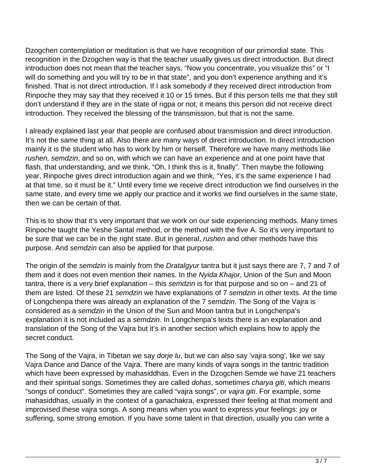Dzogchen contemplation or meditation is that we have recognition of our primordial state. This recognition in the Dzogchen way is that the teacher usually gives us direct introduction. But direct introduction does not mean that the teacher says, "Now you concentrate, you visualize this" or "I will do something and you will try to be in that state", and you don't experience anything and it's finished. That is not direct introduction. If I ask somebody if they received direct introduction from Rinpoche they may say that they received it 10 or 15 times. But if this person tells me that they still don't understand if they are in the state of rigpa or not, it means this person did not receive direct introduction. They received the blessing of the transmission, but that is not the same.

I already explained last year that people are confused about transmission and direct introduction. It's not the same thing at all. Also there are many ways of direct introduction. In direct introduction mainly it is the student who has to work by him or herself. Therefore we have many methods like rushen, semdzin, and so on, with which we can have an experience and at one point have that flash, that understanding, and we think, "Oh, I think this is it, finally". Then maybe the following year, Rinpoche gives direct introduction again and we think, "Yes, it's the same experience I had at that time, so it must be it." Until every time we receive direct introduction we find ourselves in the same state, and every time we apply our practice and it works we find ourselves in the same state, then we can be certain of that.

This is to show that it's very important that we work on our side experiencing methods. Many times Rinpoche taught the Yeshe Santal method, or the method with the five A. So it's very important to be sure that we can be in the right state. But in general, rushen and other methods have this purpose. And semdzin can also be applied for that purpose.

The origin of the semdzin is mainly from the Dratalgyur tantra but it just says there are 7, 7 and 7 of them and it does not even mention their names. In the Nyida Khajor, Union of the Sun and Moon tantra, there is a very brief explanation – this semdzin is for that purpose and so on – and 21 of them are listed. Of these 21 semdzin we have explanations of 7 semdzin in other texts. At the time of Longchenpa there was already an explanation of the 7 semdzin. The Song of the Vajra is considered as a semdzin in the Union of the Sun and Moon tantra but in Longchenpa's explanation it is not included as a semdzin. In Longchenpa's texts there is an explanation and translation of the Song of the Vajra but it's in another section which explains how to apply the secret conduct.

The Song of the Vajra, in Tibetan we say *dorje lu*, but we can also say 'vajra song', like we say Vajra Dance and Dance of the Vajra. There are many kinds of vajra songs in the tantric tradition which have been expressed by mahasiddhas. Even in the Dzogchen Semde we have 21 teachers and their spiritual songs. Sometimes they are called *dohas*, sometimes *charya giti*, which means "songs of conduct". Sometimes they are called "vajra songs", or vajra giti. For example, some mahasiddhas, usually in the context of a ganachakra, expressed their feeling at that moment and improvised these vajra songs. A song means when you want to express your feelings: joy or suffering, some strong emotion. If you have some talent in that direction, usually you can write a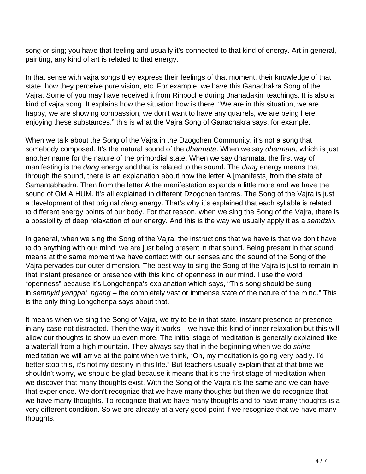song or sing; you have that feeling and usually it's connected to that kind of energy. Art in general, painting, any kind of art is related to that energy.

In that sense with vajra songs they express their feelings of that moment, their knowledge of that state, how they perceive pure vision, etc. For example, we have this Ganachakra Song of the Vajra. Some of you may have received it from Rinpoche during Jnanadakini teachings. It is also a kind of vajra song. It explains how the situation how is there. "We are in this situation, we are happy, we are showing compassion, we don't want to have any quarrels, we are being here, enjoying these substances," this is what the Vajra Song of Ganachakra says, for example.

When we talk about the Song of the Vajra in the Dzogchen Community, it's not a song that somebody composed. It's the natural sound of the *dharmata*. When we say *dharmata*, which is just another name for the nature of the primordial state. When we say dharmata, the first way of manifesting is the *dang* energy and that is related to the sound. The *dang* energy means that through the sound, there is an explanation about how the letter A [manifests] from the state of Samantabhadra. Then from the letter A the manifestation expands a little more and we have the sound of OM A HUM. It's all explained in different Dzogchen tantras. The Song of the Vajra is just a development of that original dang energy. That's why it's explained that each syllable is related to different energy points of our body. For that reason, when we sing the Song of the Vajra, there is a possibility of deep relaxation of our energy. And this is the way we usually apply it as a semdzin.

In general, when we sing the Song of the Vajra, the instructions that we have is that we don't have to do anything with our mind; we are just being present in that sound. Being present in that sound means at the same moment we have contact with our senses and the sound of the Song of the Vajra pervades our outer dimension. The best way to sing the Song of the Vajra is just to remain in that instant presence or presence with this kind of openness in our mind. I use the word "openness" because it's Longchenpa's explanation which says, "This song should be sung in semnyid yangpai ngang – the completely vast or immense state of the nature of the mind." This is the only thing Longchenpa says about that.

It means when we sing the Song of Vajra, we try to be in that state, instant presence or presence – in any case not distracted. Then the way it works – we have this kind of inner relaxation but this will allow our thoughts to show up even more. The initial stage of meditation is generally explained like a waterfall from a high mountain. They always say that in the beginning when we do shine meditation we will arrive at the point when we think, "Oh, my meditation is going very badly. I'd better stop this, it's not my destiny in this life." But teachers usually explain that at that time we shouldn't worry, we should be glad because it means that it's the first stage of meditation when we discover that many thoughts exist. With the Song of the Vajra it's the same and we can have that experience. We don't recognize that we have many thoughts but then we do recognize that we have many thoughts. To recognize that we have many thoughts and to have many thoughts is a very different condition. So we are already at a very good point if we recognize that we have many thoughts.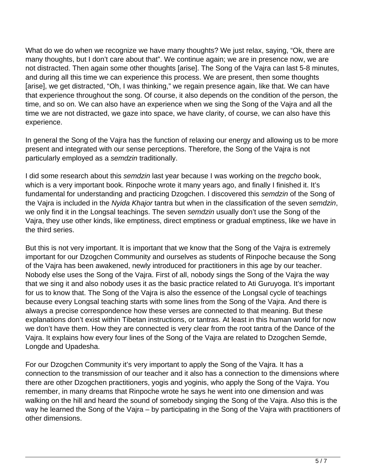What do we do when we recognize we have many thoughts? We just relax, saying, "Ok, there are many thoughts, but I don't care about that". We continue again; we are in presence now, we are not distracted. Then again some other thoughts [arise]. The Song of the Vajra can last 5-8 minutes, and during all this time we can experience this process. We are present, then some thoughts [arise], we get distracted, "Oh, I was thinking," we regain presence again, like that. We can have that experience throughout the song. Of course, it also depends on the condition of the person, the time, and so on. We can also have an experience when we sing the Song of the Vajra and all the time we are not distracted, we gaze into space, we have clarity, of course, we can also have this experience.

In general the Song of the Vajra has the function of relaxing our energy and allowing us to be more present and integrated with our sense perceptions. Therefore, the Song of the Vajra is not particularly employed as a semdzin traditionally.

I did some research about this semdzin last year because I was working on the tregcho book, which is a very important book. Rinpoche wrote it many years ago, and finally I finished it. It's fundamental for understanding and practicing Dzogchen. I discovered this semdzin of the Song of the Vajra is included in the Nyida Khajor tantra but when in the classification of the seven semdzin, we only find it in the Longsal teachings. The seven semdzin usually don't use the Song of the Vajra, they use other kinds, like emptiness, direct emptiness or gradual emptiness, like we have in the third series.

But this is not very important. It is important that we know that the Song of the Vajra is extremely important for our Dzogchen Community and ourselves as students of Rinpoche because the Song of the Vajra has been awakened, newly introduced for practitioners in this age by our teacher. Nobody else uses the Song of the Vajra. First of all, nobody sings the Song of the Vajra the way that we sing it and also nobody uses it as the basic practice related to Ati Guruyoga. It's important for us to know that. The Song of the Vajra is also the essence of the Longsal cycle of teachings because every Longsal teaching starts with some lines from the Song of the Vajra. And there is always a precise correspondence how these verses are connected to that meaning. But these explanations don't exist within Tibetan instructions, or tantras. At least in this human world for now we don't have them. How they are connected is very clear from the root tantra of the Dance of the Vajra. It explains how every four lines of the Song of the Vajra are related to Dzogchen Semde, Longde and Upadesha.

For our Dzogchen Community it's very important to apply the Song of the Vajra. It has a connection to the transmission of our teacher and it also has a connection to the dimensions where there are other Dzogchen practitioners, yogis and yoginis, who apply the Song of the Vajra. You remember, in many dreams that Rinpoche wrote he says he went into one dimension and was walking on the hill and heard the sound of somebody singing the Song of the Vajra. Also this is the way he learned the Song of the Vajra – by participating in the Song of the Vajra with practitioners of other dimensions.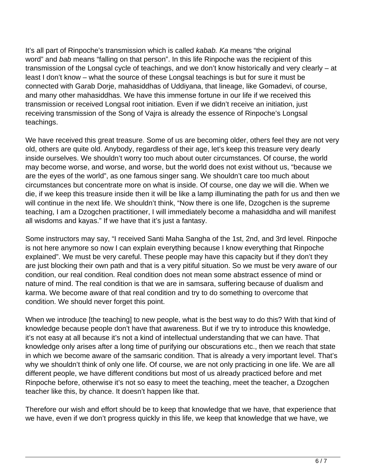It's all part of Rinpoche's transmission which is called *kabab. Ka* means "the original word" and bab means "falling on that person". In this life Rinpoche was the recipient of this transmission of the Longsal cycle of teachings, and we don't know historically and very clearly – at least I don't know – what the source of these Longsal teachings is but for sure it must be connected with Garab Dorje, mahasiddhas of Uddiyana, that lineage, like Gomadevi, of course, and many other mahasiddhas. We have this immense fortune in our life if we received this transmission or received Longsal root initiation. Even if we didn't receive an initiation, just receiving transmission of the Song of Vajra is already the essence of Rinpoche's Longsal teachings.

We have received this great treasure. Some of us are becoming older, others feel they are not very old, others are quite old. Anybody, regardless of their age, let's keep this treasure very dearly inside ourselves. We shouldn't worry too much about outer circumstances. Of course, the world may become worse, and worse, and worse, but the world does not exist without us, "because we are the eyes of the world", as one famous singer sang. We shouldn't care too much about circumstances but concentrate more on what is inside. Of course, one day we will die. When we die, if we keep this treasure inside then it will be like a lamp illuminating the path for us and then we will continue in the next life. We shouldn't think, "Now there is one life, Dzogchen is the supreme teaching, I am a Dzogchen practitioner, I will immediately become a mahasiddha and will manifest all wisdoms and kayas." If we have that it's just a fantasy.

Some instructors may say, "I received Santi Maha Sangha of the 1st, 2nd, and 3rd level. Rinpoche is not here anymore so now I can explain everything because I know everything that Rinpoche explained". We must be very careful. These people may have this capacity but if they don't they are just blocking their own path and that is a very pitiful situation. So we must be very aware of our condition, our real condition. Real condition does not mean some abstract essence of mind or nature of mind. The real condition is that we are in samsara, suffering because of dualism and karma. We become aware of that real condition and try to do something to overcome that condition. We should never forget this point.

When we introduce [the teaching] to new people, what is the best way to do this? With that kind of knowledge because people don't have that awareness. But if we try to introduce this knowledge, it's not easy at all because it's not a kind of intellectual understanding that we can have. That knowledge only arises after a long time of purifying our obscurations etc., then we reach that state in which we become aware of the samsaric condition. That is already a very important level. That's why we shouldn't think of only one life. Of course, we are not only practicing in one life. We are all different people, we have different conditions but most of us already practiced before and met Rinpoche before, otherwise it's not so easy to meet the teaching, meet the teacher, a Dzogchen teacher like this, by chance. It doesn't happen like that.

Therefore our wish and effort should be to keep that knowledge that we have, that experience that we have, even if we don't progress quickly in this life, we keep that knowledge that we have, we